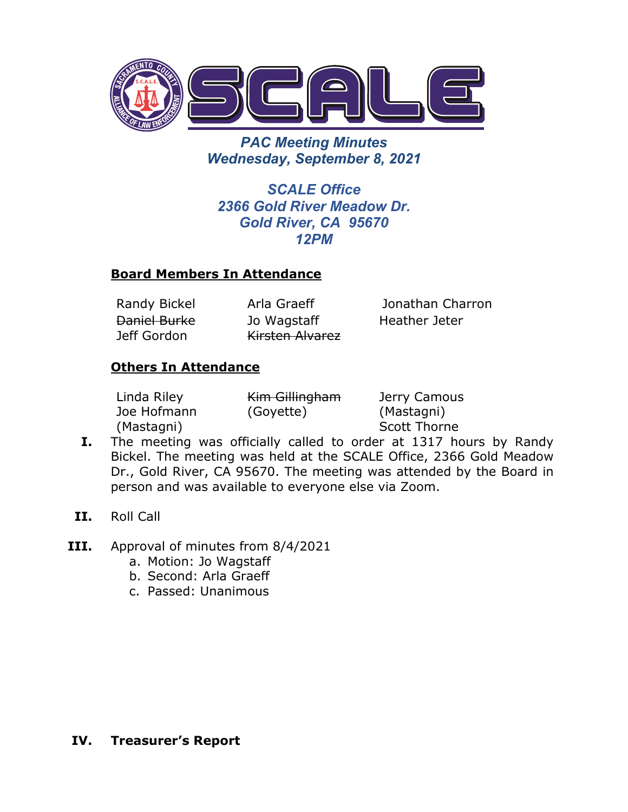

*PAC Meeting Minutes Wednesday, September 8, 2021*

*SCALE Office 2366 Gold River Meadow Dr. Gold River, CA 95670 12PM*

# **Board Members In Attendance**

Daniel Burke Jeff Gordon

Jo Wagstaff Kirsten Alvarez

Randy Bickel Arla Graeff Jonathan Charron Heather Jeter

### **Others In Attendance**

| Linda Riley | Kim Gillingham | Jerry Camous        |
|-------------|----------------|---------------------|
| Joe Hofmann | (Goyette)      | (Mastagni)          |
| (Mastagni)  |                | <b>Scott Thorne</b> |

- **I.** The meeting was officially called to order at 1317 hours by Randy Bickel. The meeting was held at the SCALE Office, 2366 Gold Meadow Dr., Gold River, CA 95670. The meeting was attended by the Board in person and was available to everyone else via Zoom.
- **II.** Roll Call
- **III.** Approval of minutes from 8/4/2021
	- a. Motion: Jo Wagstaff
	- b. Second: Arla Graeff
	- c. Passed: Unanimous

### **IV. Treasurer's Report**